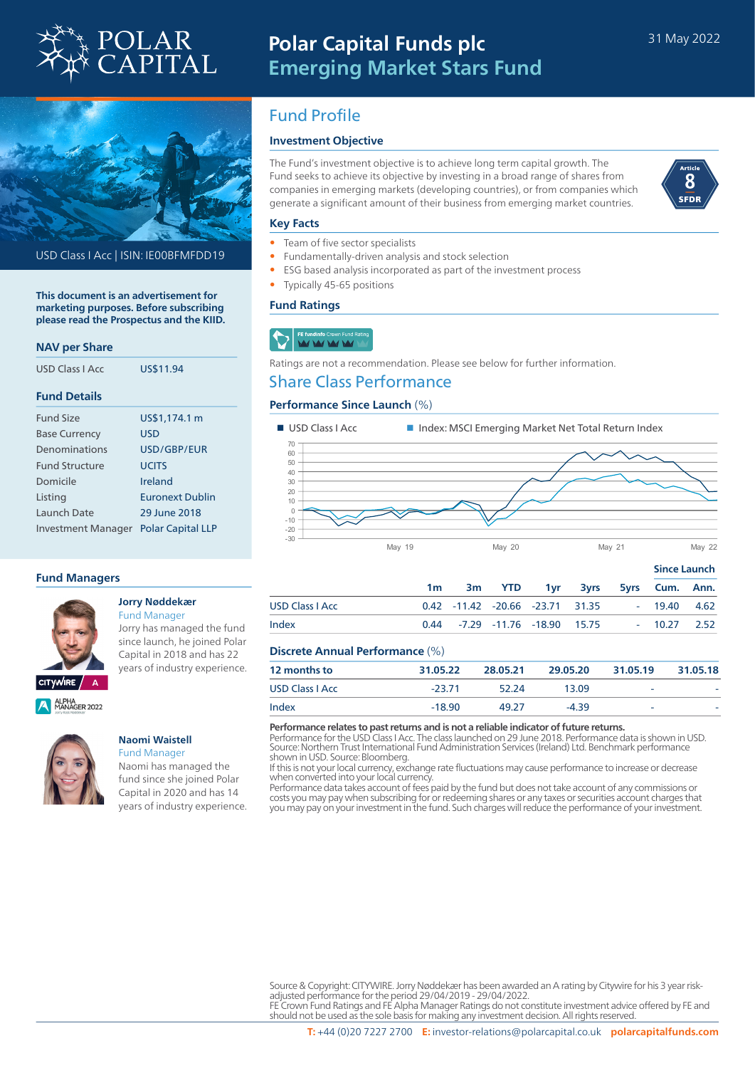

# **Polar Capital Funds plc Emerging Market Stars Fund**



USD Class I Acc | ISIN: IE00BFMFDD19

**This document is an advertisement for marketing purposes. Before subscribing please read the Prospectus and the KIID.**

### **NAV per Share**

| USD Class LAcc        | US\$11.94                |  |  |  |
|-----------------------|--------------------------|--|--|--|
| <b>Fund Details</b>   |                          |  |  |  |
| <b>Fund Size</b>      | US\$1,174.1 m            |  |  |  |
| <b>Base Currency</b>  | USD                      |  |  |  |
| Denominations         | USD/GBP/FUR              |  |  |  |
| <b>Fund Structure</b> | <b>UCITS</b>             |  |  |  |
| Domicile              | Ireland                  |  |  |  |
| Listing               | Euronext Dublin          |  |  |  |
| Launch Date           | 29 June 2018             |  |  |  |
| Investment Manager    | <b>Polar Capital LLP</b> |  |  |  |

### **Fund Managers**



#### **Jorry Nøddekær** Fund Manager

Jorry has managed the fund since launch, he joined Polar Capital in 2018 and has 22 years of industry experience.

ALPHA<br>MANAGER 2022



#### **Naomi Waistell** Fund Manager

Naomi has managed the fund since she joined Polar Capital in 2020 and has 14 years of industry experience.

## Fund Profile

## **Investment Objective**

The Fund's investment objective is to achieve long term capital growth. The Fund seeks to achieve its objective by investing in a broad range of shares from companies in emerging markets (developing countries), or from companies which generate a significant amount of their business from emerging market countries.



#### **Key Facts**

- Team of five sector specialists
- Fundamentally-driven analysis and stock selection
- ESG based analysis incorporated as part of the investment process
- Typically 45-65 positions

### **Fund Ratings**

## FE fundinfo Crown Fund<br>MY MY MY MY

Ratings are not a recommendation. Please see below for further information.

## Share Class Performance

## **Performance Since Launch** (%)



|                        |    |  |                                          |  |               | <b>Since Launch</b> |
|------------------------|----|--|------------------------------------------|--|---------------|---------------------|
|                        | 1m |  | 3m YTD 1yr 3yrs 5yrs Cum. Ann.           |  |               |                     |
| <b>USD Class   Acc</b> |    |  | 0.42 -11.42 -20.66 -23.71 31.35          |  | $-19.40$ 4.62 |                     |
| Index                  |    |  | $0.44$ $-7.29$ $-11.76$ $-18.90$ $15.75$ |  | $-10.27$ 2.52 |                     |

### **Discrete Annual Performance** (%)

| 12 months to           | 31.05.22 | 28.05.21 | 29.05.20 | 31.05.19 | 31.05.18 |  |  |
|------------------------|----------|----------|----------|----------|----------|--|--|
| <b>USD Class I Acc</b> | $-23.71$ | 52.24    | 13.09    | -        |          |  |  |
| Index                  | $-18.90$ | 49.27    | $-4.39$  | -        |          |  |  |
|                        |          |          |          |          |          |  |  |

**Performance relates to past returns and is not a reliable indicator of future returns.**

Performance for the USD Class I Acc. The class launched on 29 June 2018. Performance data is shown in USD. Source: Northern Trust International Fund Administration Services (Ireland) Ltd. Benchmark performance shown in USD. Source: Bloomberg.

If this is not your local currency, exchange rate fluctuations may cause performance to increase or decrease when converted into your local currency.

Performance data takes account of fees paid by the fund but does not take account of any commissions or costs you may pay when subscribing for or redeeming shares or any taxes or securities account charges that you may pay on your investment in the fund. Such charges will reduce the performance of your investment.

Source & Copyright: CITYWIRE. Jorry Nøddekær has been awarded an A rating by Citywire for his 3 year riskadjusted performance for the period 29/04/2019 - 29/04/2022. FE Crown Fund Ratings and FE Alpha Manager Ratings do not constitute investment advice offered by FE and

should not be used as the sole basis for making any investment decision. All rights reserved.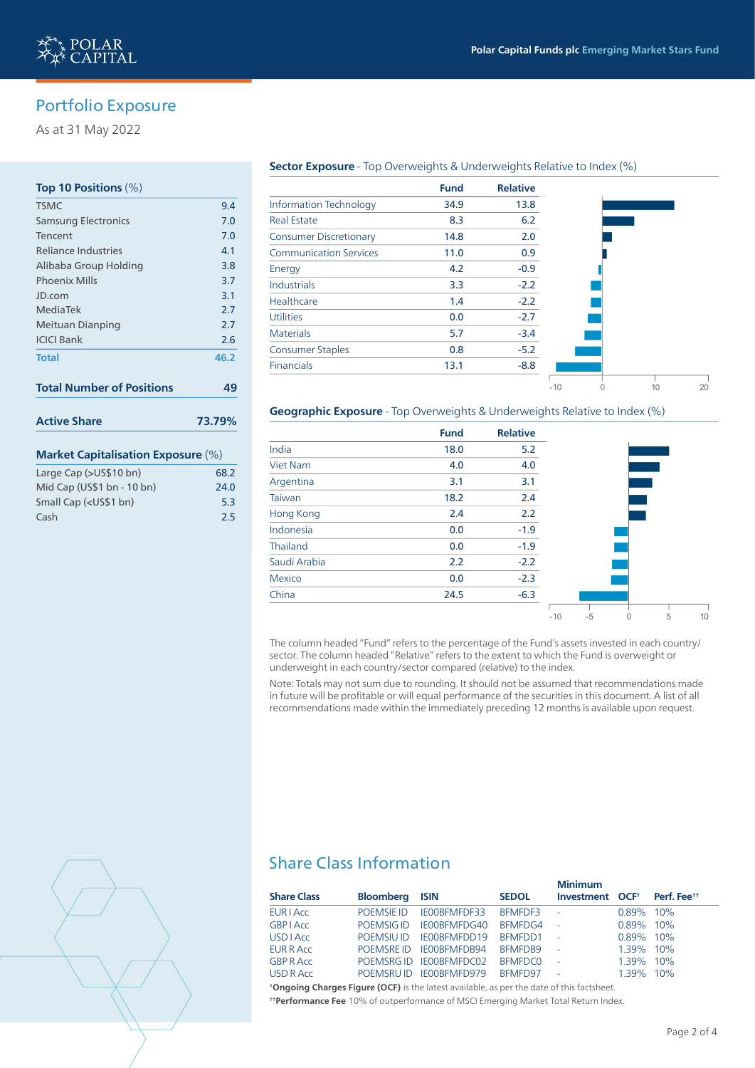-10 0 10 20

## Portfolio Exposure

As at 31 May 2022

## **Top 10 Positions** (%)

| <b>TSMC</b>                               | 9.4  |  |  |  |
|-------------------------------------------|------|--|--|--|
| Samsung Electronics                       | 7.0  |  |  |  |
| Tencent                                   | 7.0  |  |  |  |
| <b>Reliance Industries</b>                | 4.1  |  |  |  |
| Alibaba Group Holding                     | 3.8  |  |  |  |
| <b>Phoenix Mills</b>                      | 3.7  |  |  |  |
| JD.com                                    | 3.1  |  |  |  |
| MediaTek                                  | 2.7  |  |  |  |
| Meituan Dianping                          | 2.7  |  |  |  |
| <b>ICICI Bank</b>                         | 2.6  |  |  |  |
| <b>Total</b>                              | 46.2 |  |  |  |
| <b>Total Number of Positions</b>          | 49   |  |  |  |
| <b>Active Share</b><br>73.79%             |      |  |  |  |
| <b>Market Capitalisation Exposure (%)</b> |      |  |  |  |

## Large Cap (>US\$10 bn) 68.2 Mid Cap (US\$1 bn - 10 bn) 24.0 Small Cap (<US\$1 bn) 5.3 Cash 2.5

### **Sector Exposure** - Top Overweights & Underweights Relative to Index (%)

|                               | <b>Fund</b> | <b>Relative</b> |
|-------------------------------|-------------|-----------------|
| <b>Information Technology</b> | 34.9        | 13.8            |
| <b>Real Estate</b>            | 8.3         | 6.2             |
| <b>Consumer Discretionary</b> | 14.8        | 2.0             |
| <b>Communication Services</b> | 11.0        | 0.9             |
| Energy                        | 4.2         | $-0.9$          |
| <b>Industrials</b>            | 3.3         | $-2.2$          |
| Healthcare                    | 1.4         | $-2.2$          |
| <b>Utilities</b>              | 0.0         | $-2.7$          |
| <b>Materials</b>              | 5.7         | $-3.4$          |
| <b>Consumer Staples</b>       | 0.8         | $-5.2$          |
| Financials                    | 13.1        | $-8.8$          |
|                               |             |                 |

### **Geographic Exposure** - Top Overweights & Underweights Relative to Index (%)

|                  | <b>Fund</b> | <b>Relative</b> |       |      |   |
|------------------|-------------|-----------------|-------|------|---|
| India            | 18.0        | 5.2             |       |      |   |
| <b>Viet Nam</b>  | 4.0         | 4.0             |       |      |   |
| Argentina        | 3.1         | 3.1             |       |      |   |
| Taiwan           | 18.2        | 2.4             |       |      |   |
| <b>Hong Kong</b> | 2.4         | 2.2             |       |      |   |
| Indonesia        | 0.0         | $-1.9$          |       |      |   |
| Thailand         | 0.0         | $-1.9$          |       |      |   |
| Saudi Arabia     | 2.2         | $-2.2$          |       |      |   |
| <b>Mexico</b>    | 0.0         | $-2.3$          |       |      |   |
| China            | 24.5        | $-6.3$          |       |      |   |
|                  |             |                 | $-10$ | $-5$ | 5 |

The column headed "Fund" refers to the percentage of the Fund's assets invested in each country/ sector. The column headed "Relative" refers to the extent to which the Fund is overweight or underweight in each country/sector compared (relative) to the index.

Note: Totals may not sum due to rounding. It should not be assumed that recommendations made in future will be profitable or will equal performance of the securities in this document. A list of all recommendations made within the immediately preceding 12 months is available upon request.

## Share Class Information

|                    |                       |                         |                | <b>Minimum</b>              |           |                         |  |
|--------------------|-----------------------|-------------------------|----------------|-----------------------------|-----------|-------------------------|--|
| <b>Share Class</b> | <b>Bloomberg ISIN</b> |                         | <b>SEDOL</b>   | Investment OCF <sup>+</sup> |           | Perf. Fee <sup>tt</sup> |  |
| EUR LACC           | POEMSIE ID            | IE00BFMFDF33            | BFMFDF3        | $\sim$ 10 $\pm$             | 0.89% 10% |                         |  |
| <b>GBP   Acc</b>   | POEMSIG ID            | IE00BFMFDG40            | BFMFDG4        | $\sim 10$                   | 0.89% 10% |                         |  |
| <b>USD</b> LACC    | POEMSIU ID            | IE00BFMFDD19            | BFMFDD1        | $\sim 10$                   | 0.89% 10% |                         |  |
| EUR R Acc          |                       | POEMSRE ID IE00BFMFDB94 | BFMFDB9        | $\sim 10$                   | 1.39% 10% |                         |  |
| <b>GBP R Acc</b>   |                       | POEMSRG ID IE00BFMFDC02 | <b>BFMFDC0</b> | $\sim$ $\sim$               | 1.39% 10% |                         |  |
| <b>USD R Acc.</b>  |                       | POEMSRUID IE00BFMFD979  | BFMFD97        | $\sim$ $-$                  | 1.39% 10% |                         |  |
|                    |                       |                         |                |                             |           |                         |  |

**† Ongoing Charges Figure (OCF)** is the latest available, as per the date of this factsheet. **† † Performance Fee** 10% of outperformance of MSCI Emerging Market Total Return Index.

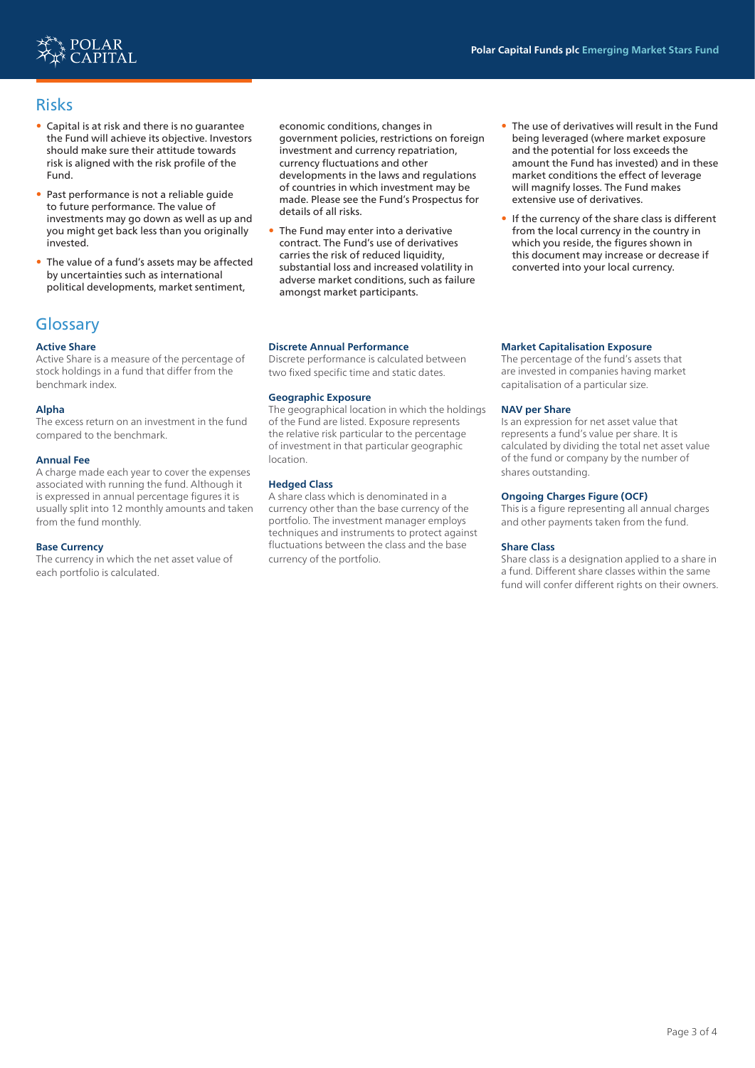

## Risks

- Capital is at risk and there is no guarantee the Fund will achieve its objective. Investors should make sure their attitude towards risk is aligned with the risk profile of the Fund.
- Past performance is not a reliable guide to future performance. The value of investments may go down as well as up and you might get back less than you originally invested.
- The value of a fund's assets may be affected by uncertainties such as international political developments, market sentiment,

## **Glossary**

## **Active Share**

Active Share is a measure of the percentage of stock holdings in a fund that differ from the benchmark index.

### **Alpha**

The excess return on an investment in the fund compared to the benchmark.

#### **Annual Fee**

A charge made each year to cover the expenses associated with running the fund. Although it is expressed in annual percentage figures it is usually split into 12 monthly amounts and taken from the fund monthly.

#### **Base Currency**

The currency in which the net asset value of each portfolio is calculated.

economic conditions, changes in government policies, restrictions on foreign investment and currency repatriation, currency fluctuations and other developments in the laws and regulations of countries in which investment may be made. Please see the Fund's Prospectus for details of all risks.

- The Fund may enter into a derivative contract. The Fund's use of derivatives carries the risk of reduced liquidity, substantial loss and increased volatility in adverse market conditions, such as failure amongst market participants.
- **Discrete Annual Performance**

Discrete performance is calculated between two fixed specific time and static dates.

#### **Geographic Exposure**

The geographical location in which the holdings of the Fund are listed. Exposure represents the relative risk particular to the percentage of investment in that particular geographic location.

### **Hedged Class**

A share class which is denominated in a currency other than the base currency of the portfolio. The investment manager employs techniques and instruments to protect against fluctuations between the class and the base currency of the portfolio.

- The use of derivatives will result in the Fund being leveraged (where market exposure and the potential for loss exceeds the amount the Fund has invested) and in these market conditions the effect of leverage will magnify losses. The Fund makes extensive use of derivatives.
- If the currency of the share class is different from the local currency in the country in which you reside, the figures shown in this document may increase or decrease if converted into your local currency.

#### **Market Capitalisation Exposure**

The percentage of the fund's assets that are invested in companies having market capitalisation of a particular size.

#### **NAV per Share**

Is an expression for net asset value that represents a fund's value per share. It is calculated by dividing the total net asset value of the fund or company by the number of shares outstanding.

#### **Ongoing Charges Figure (OCF)**

This is a figure representing all annual charges and other payments taken from the fund.

#### **Share Class**

Share class is a designation applied to a share in a fund. Different share classes within the same fund will confer different rights on their owners.